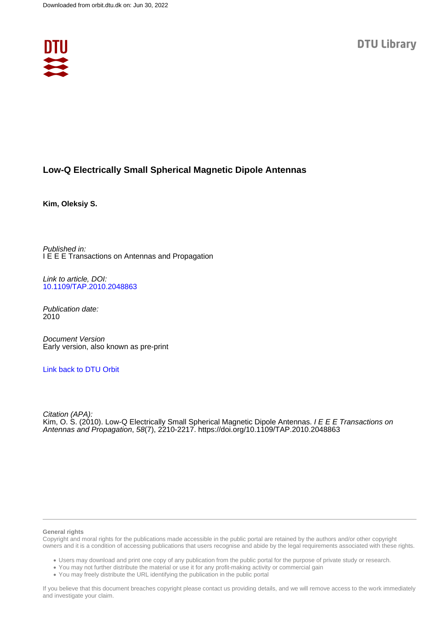

## **Low-Q Electrically Small Spherical Magnetic Dipole Antennas**

**Kim, Oleksiy S.**

Published in: I E E E Transactions on Antennas and Propagation

Link to article, DOI: [10.1109/TAP.2010.2048863](https://doi.org/10.1109/TAP.2010.2048863)

Publication date: 2010

Document Version Early version, also known as pre-print

## [Link back to DTU Orbit](https://orbit.dtu.dk/en/publications/2651052f-7d32-4d37-bf8d-8de9b5432c4c)

Citation (APA): Kim, O. S. (2010). Low-Q Electrically Small Spherical Magnetic Dipole Antennas. *I E E E Transactions on* Antennas and Propagation, 58(7), 2210-2217.<https://doi.org/10.1109/TAP.2010.2048863>

### **General rights**

Copyright and moral rights for the publications made accessible in the public portal are retained by the authors and/or other copyright owners and it is a condition of accessing publications that users recognise and abide by the legal requirements associated with these rights.

Users may download and print one copy of any publication from the public portal for the purpose of private study or research.

- You may not further distribute the material or use it for any profit-making activity or commercial gain
- You may freely distribute the URL identifying the publication in the public portal

If you believe that this document breaches copyright please contact us providing details, and we will remove access to the work immediately and investigate your claim.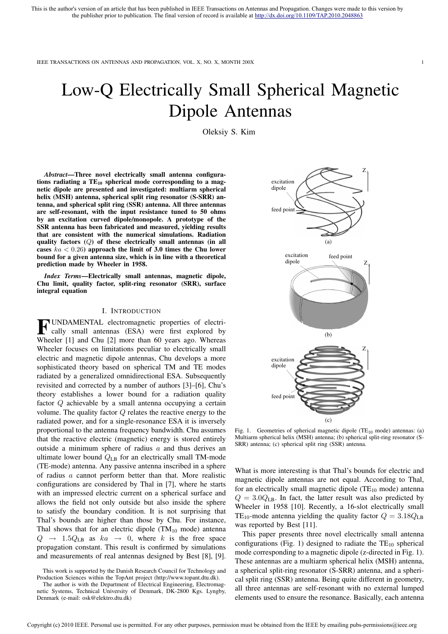# Low-Q Electrically Small Spherical Magnetic Dipole Antennas

Oleksiy S. Kim

*Abstract*—Three novel electrically small antenna configurations radiating a  $TE_{10}$  spherical mode corresponding to a magnetic dipole are presented and investigated: multiarm spherical helix (MSH) antenna, spherical split ring resonator (S-SRR) antenna, and spherical split ring (SSR) antenna. All three antennas are self-resonant, with the input resistance tuned to 50 ohms by an excitation curved dipole/monopole. A prototype of the SSR antenna has been fabricated and measured, yielding results that are consistent with the numerical simulations. Radiation quality factors (Q) of these electrically small antennas (in all cases  $ka < 0.26$ ) approach the limit of 3.0 times the Chu lower bound for a given antenna size, which is in line with a theoretical prediction made by Wheeler in 1958.

*Index Terms*—Electrically small antennas, magnetic dipole, Chu limit, quality factor, split-ring resonator (SRR), surface integral equation

#### I. INTRODUCTION

**FUNDAMENTAL** electromagnetic properties of electrically small antennas (ESA) were first explored by cally small antennas (ESA) were first explored by Wheeler [1] and Chu [2] more than 60 years ago. Whereas Wheeler focuses on limitations peculiar to electrically small electric and magnetic dipole antennas, Chu develops a more sophisticated theory based on spherical TM and TE modes radiated by a generalized omnidirectional ESA. Subsequently revisited and corrected by a number of authors [3]–[6], Chu's theory establishes a lower bound for a radiation quality factor Q achievable by a small antenna occupying a certain volume. The quality factor Q relates the reactive energy to the radiated power, and for a single-resonance ESA it is inversely proportional to the antenna frequency bandwidth. Chu assumes that the reactive electric (magnetic) energy is stored entirely outside a minimum sphere of radius  $a$  and thus derives an ultimate lower bound  $Q_{LB}$  for an electrically small TM-mode (TE-mode) antenna. Any passive antenna inscribed in a sphere of radius a cannot perform better than that. More realistic configurations are considered by Thal in [7], where he starts with an impressed electric current on a spherical surface and allows the field not only outside but also inside the sphere to satisfy the boundary condition. It is not surprising that Thal's bounds are higher than those by Chu. For instance, Thal shows that for an electric dipole  $(TM_{10}$  mode) antenna  $Q \rightarrow 1.5Q_{LB}$  as  $ka \rightarrow 0$ , where k is the free space propagation constant. This result is confirmed by simulations and measurements of real antennas designed by Best [8], [9].



Fig. 1. Geometries of spherical magnetic dipole (TE $_{10}$  mode) antennas: (a) Multiarm spherical helix (MSH) antenna; (b) spherical split-ring resonator (S-SRR) antenna; (c) spherical split ring (SSR) antenna.

What is more interesting is that Thal's bounds for electric and magnetic dipole antennas are not equal. According to Thal, for an electrically small magnetic dipole  $(TE_{10}$  mode) antenna  $Q = 3.0 Q_{LB}$ . In fact, the latter result was also predicted by Wheeler in 1958 [10]. Recently, a 16-slot electrically small TE<sub>10</sub>-mode antenna yielding the quality factor  $Q = 3.18 Q_{LB}$ was reported by Best [11].

This paper presents three novel electrically small antenna configurations (Fig. 1) designed to radiate the  $TE_{10}$  spherical mode corresponding to a magnetic dipole (z-directed in Fig. 1). These antennas are a multiarm spherical helix (MSH) antenna, a spherical split-ring resonator (S-SRR) antenna, and a spherical split ring (SSR) antenna. Being quite different in geometry, all three antennas are self-resonant with no external lumped elements used to ensure the resonance. Basically, each antenna

This work is supported by the Danish Research Council for Technology and Production Sciences within the TopAnt project (http://www.topant.dtu.dk).

The author is with the Department of Electrical Engineering, Electromagnetic Systems, Technical University of Denmark, DK-2800 Kgs. Lyngby, Denmark (e-mail: osk@elektro.dtu.dk)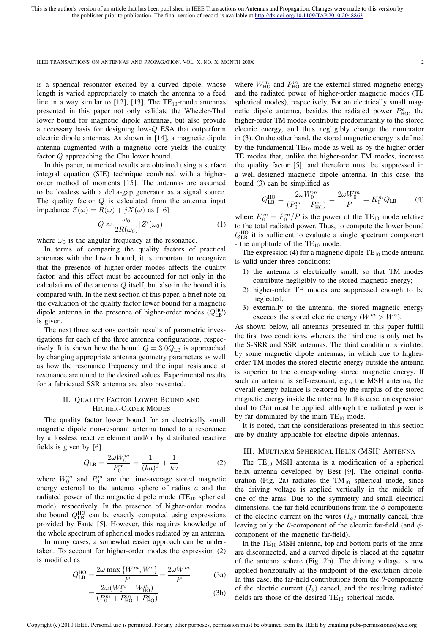is a spherical resonator excited by a curved dipole, whose length is varied appropriately to match the antenna to a feed line in a way similar to [12], [13]. The  $TE_{10}$ -mode antennas presented in this paper not only validate the Wheeler-Thal lower bound for magnetic dipole antennas, but also provide a necessary basis for designing low-Q ESA that outperform electric dipole antennas. As shown in [14], a magnetic dipole antenna augmented with a magnetic core yields the quality factor Q approaching the Chu lower bound.

In this paper, numerical results are obtained using a surface integral equation (SIE) technique combined with a higherorder method of moments [15]. The antennas are assumed to be lossless with a delta-gap generator as a signal source. The quality factor  $Q$  is calculated from the antenna input impedance  $Z(\omega) = R(\omega) + jX(\omega)$  as [16]

$$
Q \approx \frac{\omega_0}{2R(\omega_0)} |Z'(\omega_0)| \tag{1}
$$

where  $\omega_0$  is the angular frequency at the resonance.

In terms of comparing the quality factors of practical antennas with the lower bound, it is important to recognize that the presence of higher-order modes affects the quality factor, and this effect must be accounted for not only in the calculations of the antenna  $Q$  itself, but also in the bound it is compared with. In the next section of this paper, a brief note on the evaluation of the quality factor lower bound for a magnetic dipole antenna in the presence of higher-order modes  $(Q_{LB}^{HO})$ is given.

The next three sections contain results of parametric investigations for each of the three antenna configurations, respectively. It is shown how the bound  $Q = 3.0 Q_{LB}$  is approached by changing appropriate antenna geometry parameters as well as how the resonance frequency and the input resistance at resonance are tuned to the desired values. Experimental results for a fabricated SSR antenna are also presented.

## II. QUALITY FACTOR LOWER BOUND AND HIGHER-ORDER MODES

The quality factor lower bound for an electrically small magnetic dipole non-resonant antenna tuned to a resonance by a lossless reactive element and/or by distributed reactive fields is given by [6]

$$
Q_{\text{LB}} = \frac{2\omega W_0^m}{P_0^m} = \frac{1}{(ka)^3} + \frac{1}{ka} \tag{2}
$$

where  $W_0^m$  and  $P_0^m$  are the time-average stored magnetic energy external to the antenna sphere of radius a and the radiated power of the magnetic dipole mode  $(TE_{10}$  spherical mode), respectively. In the presence of higher-order modes the bound  $Q_{\text{LB}}^{\text{HO}}$  can be exactly computed using expressions provided by Fante [5]. However, this requires knowledge of the whole spectrum of spherical modes radiated by an antenna.

In many cases, a somewhat easier approach can be undertaken. To account for higher-order modes the expression (2) is modified as

$$
Q_{\text{LB}}^{\text{HO}} = \frac{2\omega \max\left\{W^m, W^e\right\}}{P} = \frac{2\omega W^m}{P} \tag{3a}
$$

$$
=\frac{2\omega(W_0^m + W_{\text{HO}}^m)}{(P_0^m + P_{\text{HO}}^m + P_{\text{HO}}^e)}
$$
(3b)

where  $W_{\text{HO}}^{m}$  and  $P_{\text{HO}}^{m}$  are the external stored magnetic energy and the radiated power of higher-order magnetic modes (TE spherical modes), respectively. For an electrically small magnetic dipole antenna, besides the radiated power  $P_{\text{HO}}^e$ , the higher-order TM modes contribute predominantly to the stored electric energy, and thus negligibly change the numerator in (3). On the other hand, the stored magnetic energy is defined by the fundamental  $TE_{10}$  mode as well as by the higher-order TE modes that, unlike the higher-order TM modes, increase the quality factor [5], and therefore must be suppressed in a well-designed magnetic dipole antenna. In this case, the bound (3) can be simplified as

$$
Q_{\text{LB}}^{\text{HO}} = \frac{2\omega W_0^m}{(P_0^m + P_{\text{HO}}^e)} = \frac{2\omega W_0^m}{P} = K_0^m Q_{\text{LB}}
$$
(4)

where  $K_0^m = P_0^m/P$  is the power of the TE<sub>10</sub> mode relative to the total radiated power. Thus, to compute the lower bound  $Q_{\text{LB}}^{\text{HO}}$  it is sufficient to evaluate a single spectrum component - the amplitude of the  $TE_{10}$  mode.

The expression (4) for a magnetic dipole  $TE_{10}$  mode antenna is valid under three conditions:

- 1) the antenna is electrically small, so that TM modes contribute negligibly to the stored magnetic energy;
- 2) higher-order TE modes are suppressed enough to be neglected;
- 3) externally to the antenna, the stored magnetic energy exceeds the stored electric energy  $(W^m > W^e)$ .

As shown below, all antennas presented in this paper fulfill the first two conditions, whereas the third one is only met by the S-SRR and SSR antennas. The third condition is violated by some magnetic dipole antennas, in which due to higherorder TM modes the stored electric energy outside the antenna is superior to the corresponding stored magnetic energy. If such an antenna is self-resonant, e.g., the MSH antenna, the overall energy balance is restored by the surplus of the stored magnetic energy inside the antenna. In this case, an expression dual to (3a) must be applied, although the radiated power is by far dominated by the main  $TE_{10}$  mode.

It is noted, that the considerations presented in this section are by duality applicable for electric dipole antennas.

### III. MULTIARM SPHERICAL HELIX (MSH) ANTENNA

The  $TE_{10}$  MSH antenna is a modification of a spherical helix antenna developed by Best [9]. The original configuration (Fig. 2a) radiates the  $TM_{10}$  spherical mode, since the driving voltage is applied vertically in the middle of one of the arms. Due to the symmetry and small electrical dimensions, the far-field contributions from the  $\phi$ -components of the electric current on the wires  $(I_{\phi})$  mutually cancel, thus leaving only the  $\theta$ -component of the electric far-field (and  $\phi$ component of the magnetic far-field).

In the  $TE_{10}$  MSH antenna, top and bottom parts of the arms are disconnected, and a curved dipole is placed at the equator of the antenna sphere (Fig. 2b). The driving voltage is now applied horizontally at the midpoint of the excitation dipole. In this case, the far-field contributions from the  $\theta$ -components of the electric current  $(I_{\theta})$  cancel, and the resulting radiated fields are those of the desired  $TE_{10}$  spherical mode.

Copyright (c) 2010 IEEE. Personal use is permitted. For any other purposes, permission must be obtained from the IEEE by emailing pubs-permissions@ieee.org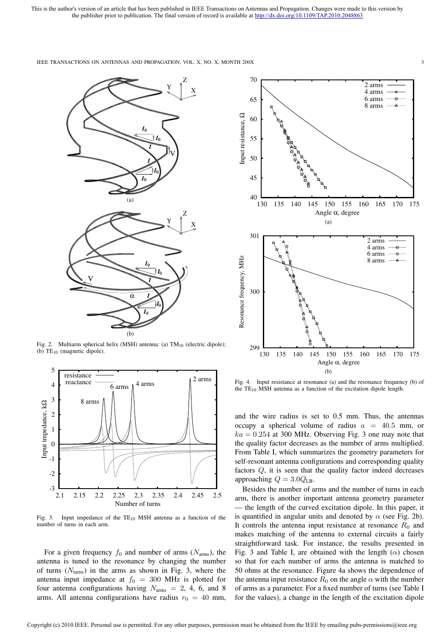

Fig. 2. Multiarm spherical helix (MSH) antenna: (a)  $TM_{10}$  (electric dipole); (b)  $TE_{10}$  (magnetic dipole).



Fig. 3. Input impedance of the  $TE_{10}$  MSH antenna as a function of the number of turns in each arm.

For a given frequency  $f_0$  and number of arms ( $N_{\text{arms}}$ ), the antenna is tuned to the resonance by changing the number of turns  $(N_{\text{turns}})$  in the arms as shown in Fig. 3, where the antenna input impedance at  $f_0 = 300$  MHz is plotted for four antenna configurations having  $N_{\text{arms}} = 2, 4, 6, \text{ and } 8$ arms. All antenna configurations have radius  $r_0 = 40$  mm,



Fig. 4. Input resistance at resonance (a) and the resonance frequency (b) of the  $TE_{10}$  MSH antenna as a function of the excitation dipole length.

and the wire radius is set to 0.5 mm. Thus, the antennas occupy a spherical volume of radius  $a = 40.5$  mm, or  $ka = 0.254$  at 300 MHz. Observing Fig. 3 one may note that the quality factor decreases as the number of arms multiplied. From Table I, which summarizes the geometry parameters for self-resonant antenna configurations and corresponding quality factors Q, it is seen that the quality factor indeed decreases approaching  $Q = 3.0 Q_{\text{LB}}$ .

Besides the number of arms and the number of turns in each arm, there is another important antenna geometry parameter — the length of the curved excitation dipole. In this paper, it is quantified in angular units and denoted by  $\alpha$  (see Fig. 2b). It controls the antenna input resistance at resonance  $R_0$  and makes matching of the antenna to external circuits a fairly straightforward task. For instance, the results presented in Fig. 3 and Table I, are obtained with the length  $(\alpha)$  chosen so that for each number of arms the antenna is matched to 50 ohms at the resonance. Figure 4a shows the dependence of the antenna input resistance  $R_0$  on the angle  $\alpha$  with the number of arms as a parameter. For a fixed number of turns (see Table I for the values), a change in the length of the excitation dipole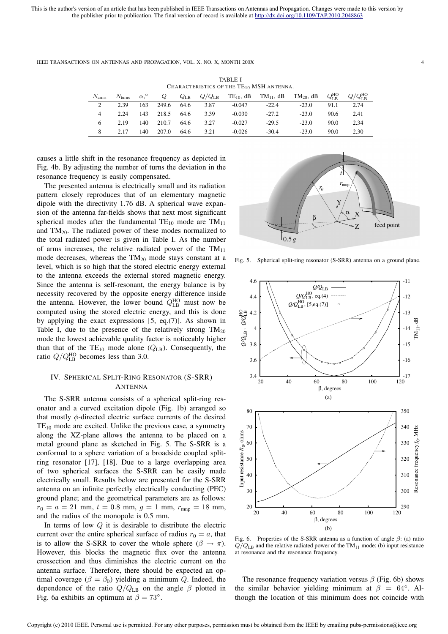TABLE I CHARACTERISTICS OF THE TE<sub>10</sub> MSH ANTENNA  $N_{\text{arms}}$   $N_{\text{turns}}$   $\alpha$ ,  $Q$   $Q_{\text{LB}}$   $Q/Q_{\text{LB}}$   $TE_{10}$ ,  $dB$   $TM_{11}$ ,  $dB$   $TM_{20}$ ,  $dB$   $Q_{\text{LB}}^{\text{HO}}$  $_\mathrm{LB}^\mathrm{HO}$   $Q/Q_\mathrm{LB}^\mathrm{HO}$ 2 2.39 163 249.6 64.6 3.87 -0.047 -22.4 -23.0 91.1 2.74 4 2.24 143 218.5 64.6 3.39 -0.030 -27.2 -23.0 90.6 2.41 6 2.19 140 210.7 64.6 3.27 -0.027 -29.5 -23.0 90.0 2.34 8 2.17 140 207.0 64.6 3.21 -0.026 -30.4 -23.0 90.0 2.30

IEEE TRANSACTIONS ON ANTENNAS AND PROPAGATION, VOL. X, NO. X, MONTH 200X 4

causes a little shift in the resonance frequency as depicted in Fig. 4b. By adjusting the number of turns the deviation in the resonance frequency is easily compensated.

The presented antenna is electrically small and its radiation pattern closely reproduces that of an elementary magnetic dipole with the directivity 1.76 dB. A spherical wave expansion of the antenna far-fields shows that next most significant spherical modes after the fundamental  $TE_{10}$  mode are  $TM_{11}$ and TM20. The radiated power of these modes normalized to the total radiated power is given in Table I. As the number of arms increases, the relative radiated power of the  $TM_{11}$ mode decreases, whereas the TM<sup>20</sup> mode stays constant at a level, which is so high that the stored electric energy external to the antenna exceeds the external stored magnetic energy. Since the antenna is self-resonant, the energy balance is by necessity recovered by the opposite energy difference inside the antenna. However, the lower bound  $Q_{LB}^{HO}$  must now be computed using the stored electric energy, and this is done by applying the exact expressions [5, eq.(7)]. As shown in Table I, due to the presence of the relatively strong  $TM_{20}$ mode the lowest achievable quality factor is noticeably higher than that of the  $TE_{10}$  mode alone ( $Q_{LB}$ ). Consequently, the ratio  $Q/Q_{\text{LB}}^{\text{HO}}$  becomes less than 3.0.

## IV. SPHERICAL SPLIT-RING RESONATOR (S-SRR) ANTENNA

The S-SRR antenna consists of a spherical split-ring resonator and a curved excitation dipole (Fig. 1b) arranged so that mostly  $\phi$ -directed electric surface currents of the desired  $TE_{10}$  mode are excited. Unlike the previous case, a symmetry along the XZ-plane allows the antenna to be placed on a metal ground plane as sketched in Fig. 5. The S-SRR is a conformal to a sphere variation of a broadside coupled splitring resonator [17], [18]. Due to a large overlapping area of two spherical surfaces the S-SRR can be easily made electrically small. Results below are presented for the S-SRR antenna on an infinite perfectly electrically conducting (PEC) ground plane; and the geometrical parameters are as follows:  $r_0 = a = 21$  mm,  $t = 0.8$  mm,  $g = 1$  mm,  $r_{\text{mnp}} = 18$  mm, and the radius of the monopole is 0.5 mm.

In terms of low  $Q$  it is desirable to distribute the electric current over the entire spherical surface of radius  $r_0 = a$ , that is to allow the S-SRR to cover the whole sphere ( $\beta \rightarrow \pi$ ). However, this blocks the magnetic flux over the antenna crossection and thus diminishes the electric current on the antenna surface. Therefore, there should be expected an optimal coverage ( $\beta = \beta_0$ ) yielding a minimum Q. Indeed, the dependence of the ratio  $Q/Q_{\rm LB}$  on the angle  $\beta$  plotted in Fig. 6a exhibits an optimum at  $\beta = 73^\circ$ .



Fig. 5. Spherical split-ring resonator (S-SRR) antenna on a ground plane.



Fig. 6. Properties of the S-SRR antenna as a function of angle  $\beta$ : (a) ratio  $Q/Q<sub>LB</sub>$  and the relative radiated power of the TM<sub>11</sub> mode; (b) input resistance at resonance and the resonance frequency.

The resonance frequency variation versus  $\beta$  (Fig. 6b) shows the similar behavior yielding minimum at  $\beta = 64^\circ$ . Although the location of this minimum does not coincide with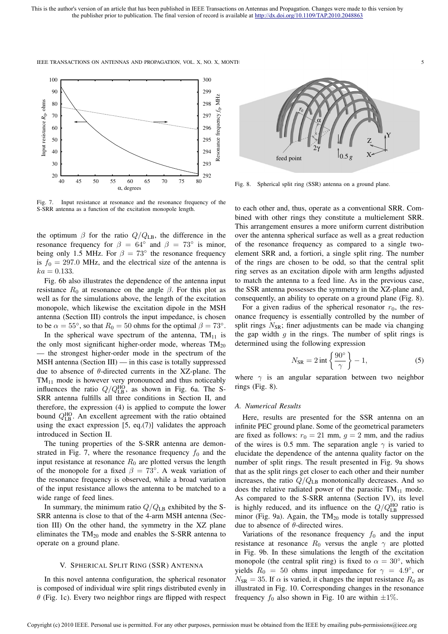

Fig. 7. Input resistance at resonance and the resonance frequency of the S-SRR antenna as a function of the excitation monopole length.

the optimum  $\beta$  for the ratio  $Q/Q_{\text{LB}}$ , the difference in the resonance frequency for  $\beta = 64^\circ$  and  $\beta = 73^\circ$  is minor, being only 1.5 MHz. For  $\beta = 73^\circ$  the resonance frequency is  $f_0 = 297.0$  MHz, and the electrical size of the antenna is  $ka = 0.133.$ 

Fig. 6b also illustrates the dependence of the antenna input resistance  $R_0$  at resonance on the angle  $\beta$ . For this plot as well as for the simulations above, the length of the excitation monopole, which likewise the excitation dipole in the MSH antenna (Section III) controls the input impedance, is chosen to be  $\alpha = 55^{\circ}$ , so that  $R_0 = 50$  ohms for the optimal  $\beta = 73^{\circ}$ . In the spherical wave spectrum of the antenna,  $TM_{11}$  is the only most significant higher-order mode, whereas  $TM_{20}$ the strongest higher-order mode in the spectrum of the MSH antenna (Section III) — in this case is totally suppressed due to absence of  $\theta$ -directed currents in the XZ-plane. The  $TM_{11}$  mode is however very pronounced and thus noticeably

influences the ratio  $Q/Q_{\text{LB}}^{\text{HO}}$ , as shown in Fig. 6a. The S-SRR antenna fulfills all three conditions in Section II, and therefore, the expression (4) is applied to compute the lower bound  $Q_{LB}^{HO}$ . An excellent agreement with the ratio obtained using the exact expression [5, eq.(7)] validates the approach introduced in Section II.

The tuning properties of the S-SRR antenna are demonstrated in Fig. 7, where the resonance frequency  $f_0$  and the input resistance at resonance  $R_0$  are plotted versus the length of the monopole for a fixed  $\beta = 73^\circ$ . A weak variation of the resonance frequency is observed, while a broad variation of the input resistance allows the antenna to be matched to a wide range of feed lines.

In summary, the minimum ratio  $Q/Q_{\text{LB}}$  exhibited by the S-SRR antenna is close to that of the 4-arm MSH antenna (Section III) On the other hand, the symmetry in the XZ plane eliminates the  $TM_{20}$  mode and enables the S-SRR antenna to operate on a ground plane.

## V. SPHERICAL SPLIT RING (SSR) ANTENNA

In this novel antenna configuration, the spherical resonator is composed of individual wire split rings distributed evenly in  $\theta$  (Fig. 1c). Every two neighbor rings are flipped with respect



Fig. 8. Spherical split ring (SSR) antenna on a ground plane.

to each other and, thus, operate as a conventional SRR. Combined with other rings they constitute a multielement SRR. This arrangement ensures a more uniform current distribution over the antenna spherical surface as well as a great reduction of the resonance frequency as compared to a single twoelement SRR and, a fortiori, a single split ring. The number of the rings are chosen to be odd, so that the central split ring serves as an excitation dipole with arm lengths adjusted to match the antenna to a feed line. As in the previous case, the SSR antenna possesses the symmetry in the XZ-plane and, consequently, an ability to operate on a ground plane (Fig. 8).

For a given radius of the spherical resonator  $r_0$ , the resonance frequency is essentially controlled by the number of split rings  $N_{\text{SR}}$ ; finer adjustments can be made via changing the gap width  $g$  in the rings. The number of split rings is determined using the following expression

$$
N_{\rm SR} = 2 \operatorname{int} \left\{ \frac{90^{\circ}}{\gamma} \right\} - 1, \tag{5}
$$

where  $\gamma$  is an angular separation between two neighbor rings (Fig. 8).

#### *A. Numerical Results*

Here, results are presented for the SSR antenna on an infinite PEC ground plane. Some of the geometrical parameters are fixed as follows:  $r_0 = 21$  mm,  $g = 2$  mm, and the radius of the wires is 0.5 mm. The separation angle  $\gamma$  is varied to elucidate the dependence of the antenna quality factor on the number of split rings. The result presented in Fig. 9a shows that as the split rings get closer to each other and their number increases, the ratio  $Q/Q_{\rm LB}$  monotonically decreases. And so does the relative radiated power of the parasitic  $TM_{11}$  mode. As compared to the S-SRR antenna (Section IV), its level is highly reduced, and its influence on the  $Q/Q_{\text{LB}}^{\text{HO}}$  ratio is minor (Fig. 9a). Again, the  $TM_{20}$  mode is totally suppressed due to absence of  $\theta$ -directed wires.

Variations of the resonance frequency  $f_0$  and the input resistance at resonance  $R_0$  versus the angle  $\gamma$  are plotted in Fig. 9b. In these simulations the length of the excitation monopole (the central split ring) is fixed to  $\alpha = 30^{\circ}$ , which yields  $R_0 = 50$  ohms input impedance for  $\gamma = 4.9^{\circ}$ , or  $N_{\rm SR} = 35$ . If  $\alpha$  is varied, it changes the input resistance  $R_0$  as illustrated in Fig. 10. Corresponding changes in the resonance frequency  $f_0$  also shown in Fig. 10 are within  $\pm 1\%$ .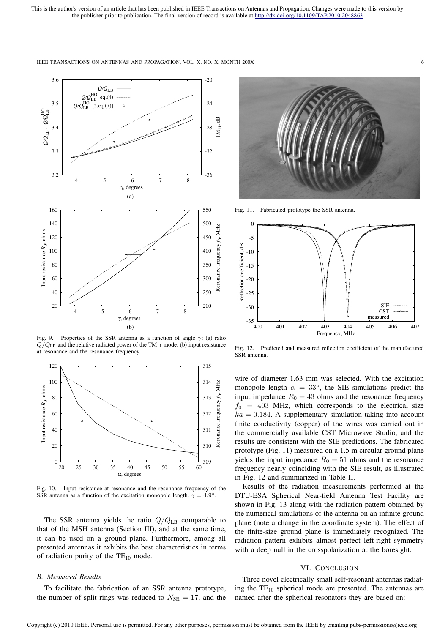

IEEE TRANSACTIONS ON ANTENNAS AND PROPAGATION, VOL. X, NO. X, MONTH 200X 66

Fig. 9. Properties of the SSR antenna as a function of angle  $\gamma$ : (a) ratio  $Q/Q_{LB}$  and the relative radiated power of the TM<sub>11</sub> mode; (b) input resistance at resonance and the resonance frequency.



Fig. 10. Input resistance at resonance and the resonance frequency of the SSR antenna as a function of the excitation monopole length.  $\gamma = 4.9^{\circ}$ .

The SSR antenna yields the ratio  $Q/Q_{LB}$  comparable to that of the MSH antenna (Section III), and at the same time, it can be used on a ground plane. Furthermore, among all presented antennas it exhibits the best characteristics in terms of radiation purity of the  $TE_{10}$  mode.

## *B. Measured Results*

To facilitate the fabrication of an SSR antenna prototype, the number of split rings was reduced to  $N_{\rm SR} = 17$ , and the



Fig. 11. Fabricated prototype the SSR antenna.



Fig. 12. Predicted and measured reflection coefficient of the manufactured SSR antenna.

wire of diameter 1.63 mm was selected. With the excitation monopole length  $\alpha = 33^{\circ}$ , the SIE simulations predict the input impedance  $R_0 = 43$  ohms and the resonance frequency  $f_0 = 403$  MHz, which corresponds to the electrical size  $ka = 0.184$ . A supplementary simulation taking into account finite conductivity (copper) of the wires was carried out in the commercially available CST Microwave Studio, and the results are consistent with the SIE predictions. The fabricated prototype (Fig. 11) measured on a 1.5 m circular ground plane yields the input impedance  $R_0 = 51$  ohms and the resonance frequency nearly coinciding with the SIE result, as illustrated in Fig. 12 and summarized in Table II.

Results of the radiation measurements performed at the DTU-ESA Spherical Near-field Antenna Test Facility are shown in Fig. 13 along with the radiation pattern obtained by the numerical simulations of the antenna on an infinite ground plane (note a change in the coordinate system). The effect of the finite-size ground plane is immediately recognized. The radiation pattern exhibits almost perfect left-right symmetry with a deep null in the crosspolarization at the boresight.

## VI. CONCLUSION

Three novel electrically small self-resonant antennas radiating the  $TE_{10}$  spherical mode are presented. The antennas are named after the spherical resonators they are based on: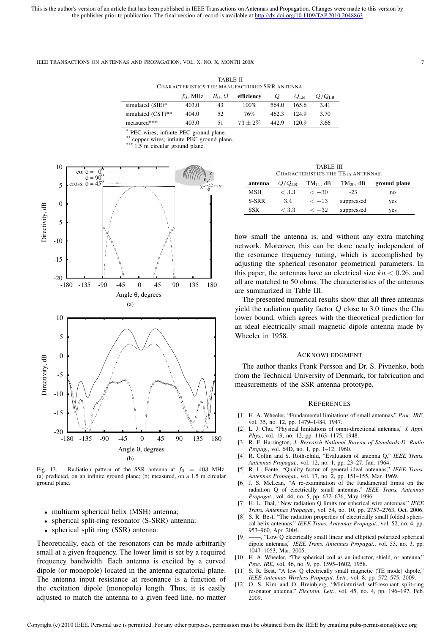TABLE II CHARACTERISTICS THE MANUFACTURED SRR ANTENNA.

|                      | $f_0$ , MHz | $R_0, \Omega$ | efficiency | $\omega$ | $Q_{\rm LB}$ | $Q/Q_{\text{LB}}$ |
|----------------------|-------------|---------------|------------|----------|--------------|-------------------|
| simulated (SIE)*     | 403.0       | 43            | $100\%$    | 564.0    | 165.6        | 3.41              |
| simulated $(CST)$ ** | 404.0       | 52            | 76%        | 462.3    | 124.9        | 3.70              |
| measured***          | 403.0       | 51            | $73 + 2\%$ | 442.9    | 120.9        | 3.66              |

<sup>\*</sup> PEC wires; infinite PEC ground plane.

copper wires; infinite PEC ground plane.

 $1.5$  m circular ground plane.



Fig. 13. Radiation pattern of the SSR antenna at  $f_0 = 403$  MHz: (a) predicted, on an infinite ground plane; (b) measured, on a 1.5 m circular ground plane.

- multiarm spherical helix (MSH) antenna;
- spherical split-ring resonator (S-SRR) antenna;
- spherical split ring (SSR) antenna.

Theoretically, each of the resonators can be made arbitrarily small at a given frequency. The lower limit is set by a required frequency bandwidth. Each antenna is excited by a curved dipole (or monopole) located in the antenna equatorial plane. The antenna input resistance at resonance is a function of the excitation dipole (monopole) length. Thus, it is easily adjusted to match the antenna to a given feed line, no matter

TABLE III CHARACTERISTICS THE TE<sub>10</sub> ANTENNAS.

| antenna    | $Q/Q_{\rm LB}$ | $TM_{11}$ , dB   | $TM_{20}$ , dB | ground plane |
|------------|----------------|------------------|----------------|--------------|
| MSH        | < 3.3          | $\epsilon$ $-30$ | $-23$          | no           |
| S-SRR      | 3.4            | $<-13$           | suppressed     | yes          |
| <b>SSR</b> | < 3.3          | $<-32$           | suppressed     | yes          |

how small the antenna is, and without any extra matching network. Moreover, this can be done nearly independent of the resonance frequency tuning, which is accomplished by adjusting the spherical resonator geometrical parameters. In this paper, the antennas have an electrical size  $ka < 0.26$ , and all are matched to 50 ohms. The characteristics of the antennas are summarized in Table III.

The presented numerical results show that all three antennas yield the radiation quality factor  $Q$  close to 3.0 times the Chu lower bound, which agrees with the theoretical prediction for an ideal electrically small magnetic dipole antenna made by Wheeler in 1958.

#### ACKNOWLEDGMENT

The author thanks Frank Persson and Dr. S. Pivnenko, both from the Technical University of Denmark, for fabrication and measurements of the SSR antenna prototype.

#### **REFERENCES**

- [1] H. A. Wheeler, "Fundamental limitations of small antennas," *Proc. IRE*, vol. 35, no. 12, pp. 1479–1484, 1947.
- [2] L. J. Chu, "Physical limitations of omni-directional antennas," *J. Appl. Phys.*, vol. 19, no. 12, pp. 1163–1175, 1948.
- [3] R. F. Harrington, *J. Research National Bureau of Standards-D, Radio Propag.*, vol. 64D, no. 1, pp. 1–12, 1960.
- [4] R. Collin and S. Rothschild, "Evaluation of antenna Q," *IEEE Trans. Antennas Propagat.*, vol. 12, no. 1, pp. 23–27, Jan. 1964.
- [5] R. L. Fante, "Quality factor of general ideal antennas," *IEEE Trans. Antennas Propagat.*, vol. 17, no. 2, pp. 151–155, Mar. 1969.
- [6] J. S. McLean, "A re-examination of the fundamental limits on the radiation Q of electrically small antennas," *IEEE Trans. Antennas Propagat.*, vol. 44, no. 5, pp. 672–676, May 1996.
- [7] H. L. Thal, "New radiation Q limits for spherical wire antennas," *IEEE Trans. Antennas Propagat.*, vol. 54, no. 10, pp. 2757–2763, Oct. 2006.
- [8] S. R. Best, "The radiation properties of electrically small folded spherical helix antennas," *IEEE Trans. Antennas Propagat.*, vol. 52, no. 4, pp. 953–960, Apr. 2004.
- [9] ——, "Low Q electrically small linear and elliptical polarized spherical dipole antennas," *IEEE Trans. Antennas Propagat.*, vol. 53, no. 3, pp. 1047–1053, Mar. 2005.
- [10] H. A. Wheeler, "The spherical coil as an inductor, shield, or antenna," *Proc. IRE*, vol. 46, no. 9, pp. 1595–1602, 1958.
- [11] S. R. Best, "A low Q electrically small magnetic (TE mode) dipole," *IEEE Antennas Wireless Propagat. Lett.*, vol. 8, pp. 572–575, 2009.
- [12] O. S. Kim and O. Breinbjerg, "Miniaturised self-resonant split-ring resonator antenna," *Electron. Lett.*, vol. 45, no. 4, pp. 196–197, Feb. 2009.